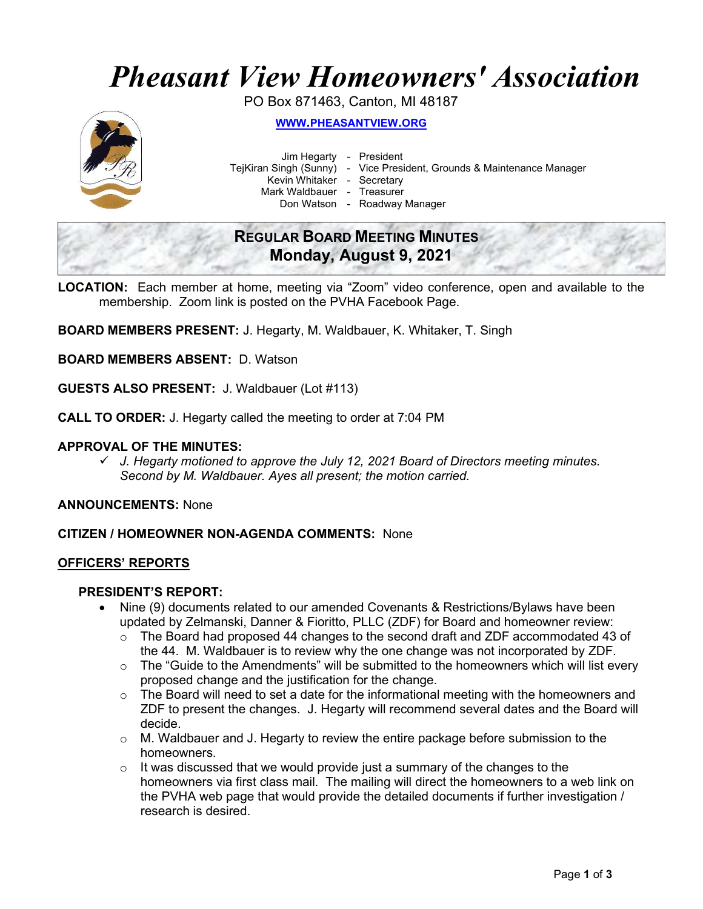# Pheasant View Homeowners' Association

PO Box 871463, Canton, MI 48187



WWW.PHEASANTVIEW.ORG

Jim Hegarty - President

TejKiran Singh (Sunny) - Vice President, Grounds & Maintenance Manager

Kevin Whitaker - Secretary

Mark Waldbauer - Treasurer

Don Watson - Roadway Manager

| <b>REGULAR BOARD MEETING MINUTES</b> |  |
|--------------------------------------|--|
| Monday, August 9, 2021               |  |

LOCATION: Each member at home, meeting via "Zoom" video conference, open and available to the membership. Zoom link is posted on the PVHA Facebook Page.

BOARD MEMBERS PRESENT: J. Hegarty, M. Waldbauer, K. Whitaker, T. Singh

BOARD MEMBERS ABSENT: D. Watson

GUESTS ALSO PRESENT: J. Waldbauer (Lot #113)

CALL TO ORDER: J. Hegarty called the meeting to order at 7:04 PM

# APPROVAL OF THE MINUTES:

 $\checkmark$  J. Hegarty motioned to approve the July 12, 2021 Board of Directors meeting minutes. Second by M. Waldbauer. Ayes all present; the motion carried.

ANNOUNCEMENTS: None

CITIZEN / HOMEOWNER NON-AGENDA COMMENTS: None

#### OFFICERS' REPORTS

# PRESIDENT'S REPORT:

- Nine (9) documents related to our amended Covenants & Restrictions/Bylaws have been updated by Zelmanski, Danner & Fioritto, PLLC (ZDF) for Board and homeowner review:
	- o The Board had proposed 44 changes to the second draft and ZDF accommodated 43 of the 44. M. Waldbauer is to review why the one change was not incorporated by ZDF.
	- $\circ$  The "Guide to the Amendments" will be submitted to the homeowners which will list every proposed change and the justification for the change.
	- o The Board will need to set a date for the informational meeting with the homeowners and ZDF to present the changes. J. Hegarty will recommend several dates and the Board will decide.
	- o M. Waldbauer and J. Hegarty to review the entire package before submission to the homeowners.
	- $\circ$  It was discussed that we would provide just a summary of the changes to the homeowners via first class mail. The mailing will direct the homeowners to a web link on the PVHA web page that would provide the detailed documents if further investigation / research is desired.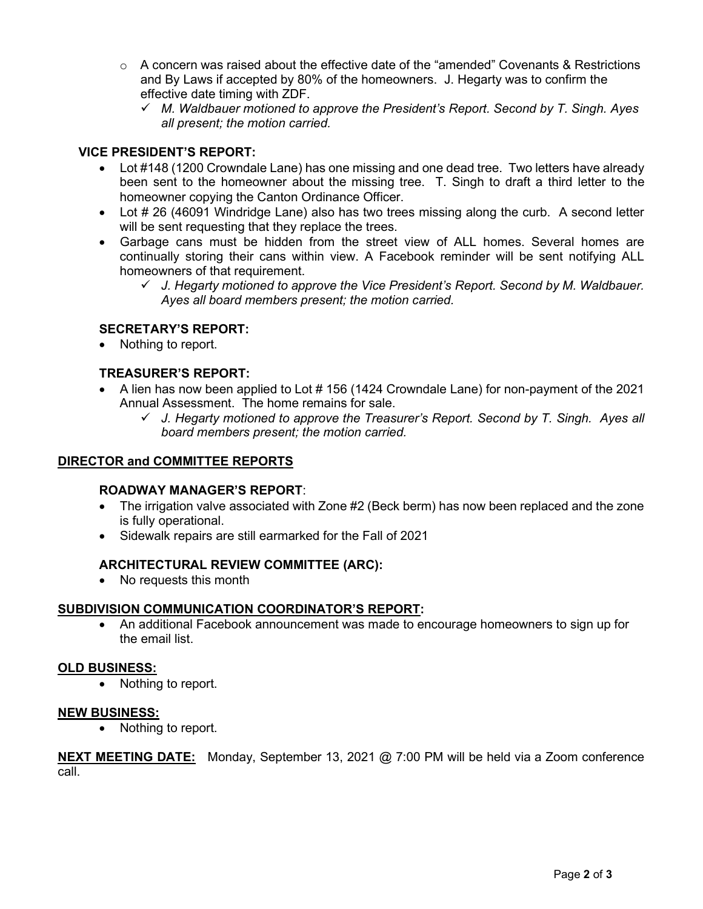- $\circ$  A concern was raised about the effective date of the "amended" Covenants & Restrictions and By Laws if accepted by 80% of the homeowners. J. Hegarty was to confirm the effective date timing with ZDF.
	- $\checkmark$  M. Waldbauer motioned to approve the President's Report. Second by T. Singh. Ayes all present; the motion carried.

# VICE PRESIDENT'S REPORT:

- Lot #148 (1200 Crowndale Lane) has one missing and one dead tree. Two letters have already been sent to the homeowner about the missing tree. T. Singh to draft a third letter to the homeowner copying the Canton Ordinance Officer.
- Lot # 26 (46091 Windridge Lane) also has two trees missing along the curb. A second letter will be sent requesting that they replace the trees.
- Garbage cans must be hidden from the street view of ALL homes. Several homes are continually storing their cans within view. A Facebook reminder will be sent notifying ALL homeowners of that requirement.
	- $\checkmark$  J. Hegarty motioned to approve the Vice President's Report. Second by M. Waldbauer. Ayes all board members present; the motion carried.

# SECRETARY'S REPORT:

• Nothing to report.

# TREASURER'S REPORT:

- A lien has now been applied to Lot # 156 (1424 Crowndale Lane) for non-payment of the 2021 Annual Assessment. The home remains for sale.
	- $\checkmark$  J. Hegarty motioned to approve the Treasurer's Report. Second by T. Singh. Ayes all board members present; the motion carried.

#### DIRECTOR and COMMITTEE REPORTS

#### ROADWAY MANAGER'S REPORT:

- The irrigation valve associated with Zone #2 (Beck berm) has now been replaced and the zone is fully operational.
- Sidewalk repairs are still earmarked for the Fall of 2021

#### ARCHITECTURAL REVIEW COMMITTEE (ARC):

• No requests this month

#### SUBDIVISION COMMUNICATION COORDINATOR'S REPORT:

 An additional Facebook announcement was made to encourage homeowners to sign up for the email list.

#### OLD BUSINESS:

• Nothing to report.

#### NEW BUSINESS:

• Nothing to report.

| <b>NEXT MEETING DATE:</b> Monday, September 13, 2021 @ 7:00 PM will be held via a Zoom conference |  |  |  |
|---------------------------------------------------------------------------------------------------|--|--|--|
| call                                                                                              |  |  |  |